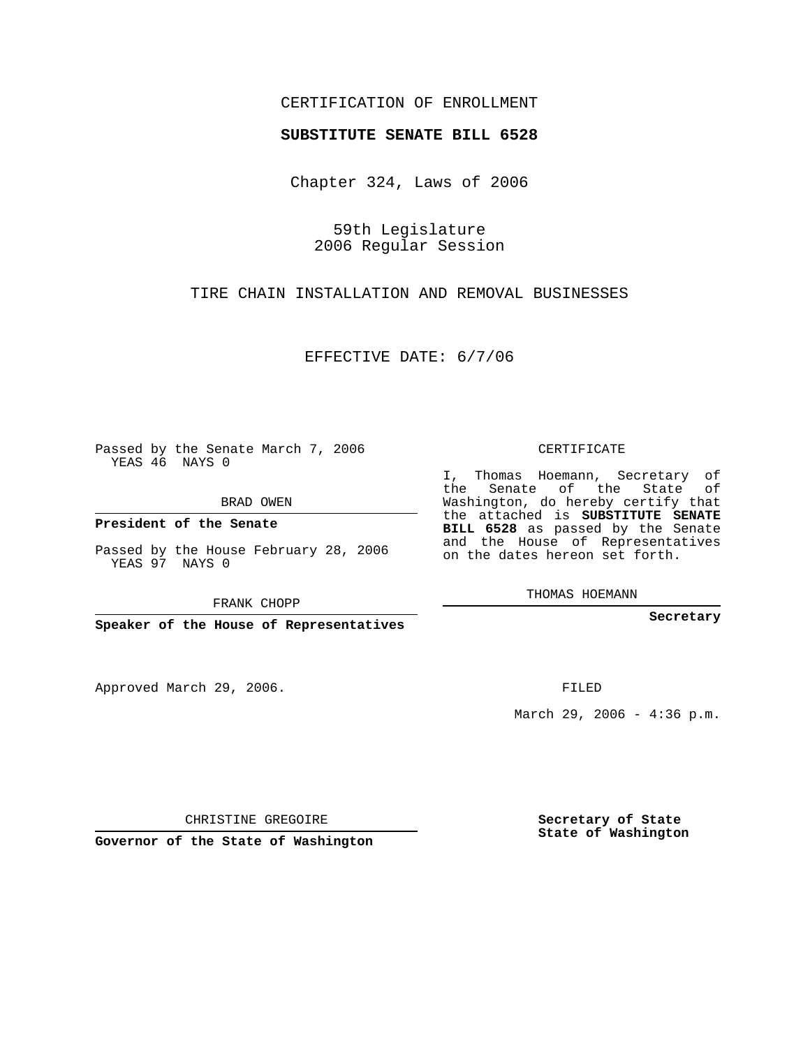# CERTIFICATION OF ENROLLMENT

#### **SUBSTITUTE SENATE BILL 6528**

Chapter 324, Laws of 2006

59th Legislature 2006 Regular Session

TIRE CHAIN INSTALLATION AND REMOVAL BUSINESSES

EFFECTIVE DATE: 6/7/06

Passed by the Senate March 7, 2006 YEAS 46 NAYS 0

BRAD OWEN

**President of the Senate**

Passed by the House February 28, 2006 YEAS 97 NAYS 0

FRANK CHOPP

**Speaker of the House of Representatives**

Approved March 29, 2006.

CERTIFICATE

I, Thomas Hoemann, Secretary of the Senate of the State of Washington, do hereby certify that the attached is **SUBSTITUTE SENATE BILL 6528** as passed by the Senate and the House of Representatives on the dates hereon set forth.

THOMAS HOEMANN

**Secretary**

FILED

March 29, 2006 - 4:36 p.m.

CHRISTINE GREGOIRE

**Governor of the State of Washington**

**Secretary of State State of Washington**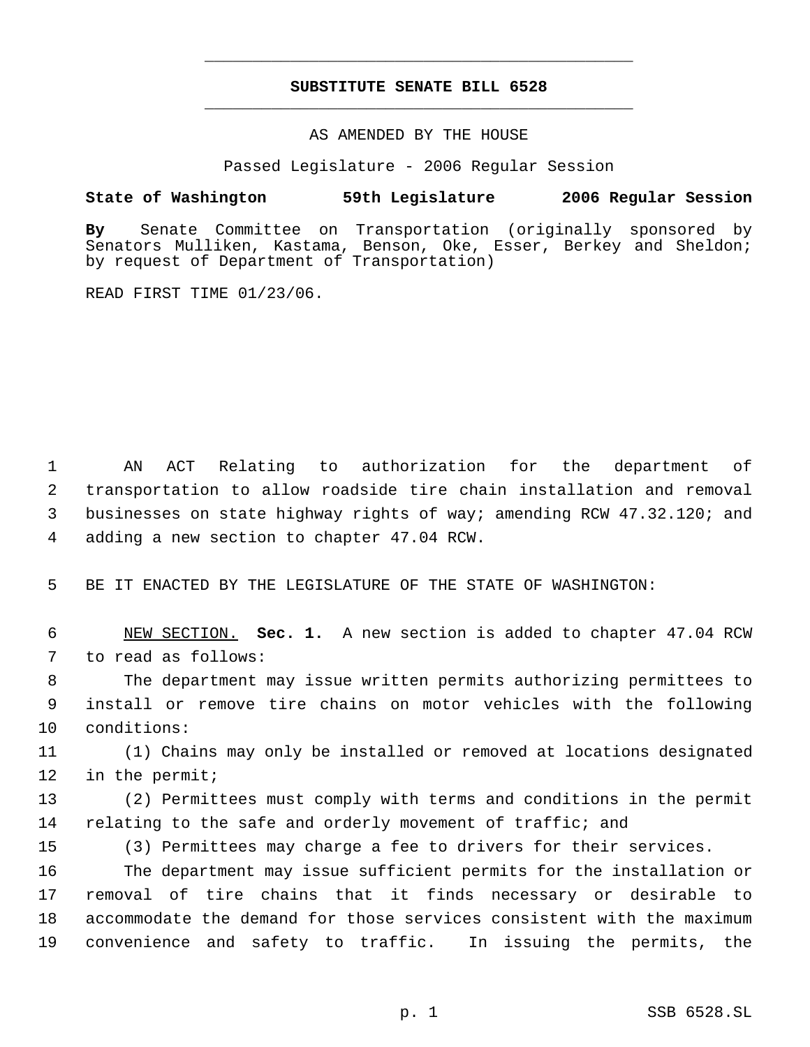# **SUBSTITUTE SENATE BILL 6528** \_\_\_\_\_\_\_\_\_\_\_\_\_\_\_\_\_\_\_\_\_\_\_\_\_\_\_\_\_\_\_\_\_\_\_\_\_\_\_\_\_\_\_\_\_

\_\_\_\_\_\_\_\_\_\_\_\_\_\_\_\_\_\_\_\_\_\_\_\_\_\_\_\_\_\_\_\_\_\_\_\_\_\_\_\_\_\_\_\_\_

### AS AMENDED BY THE HOUSE

Passed Legislature - 2006 Regular Session

## **State of Washington 59th Legislature 2006 Regular Session**

**By** Senate Committee on Transportation (originally sponsored by Senators Mulliken, Kastama, Benson, Oke, Esser, Berkey and Sheldon; by request of Department of Transportation)

READ FIRST TIME 01/23/06.

 AN ACT Relating to authorization for the department of transportation to allow roadside tire chain installation and removal businesses on state highway rights of way; amending RCW 47.32.120; and adding a new section to chapter 47.04 RCW.

5 BE IT ENACTED BY THE LEGISLATURE OF THE STATE OF WASHINGTON:

 6 NEW SECTION. **Sec. 1.** A new section is added to chapter 47.04 RCW 7 to read as follows:

 8 The department may issue written permits authorizing permittees to 9 install or remove tire chains on motor vehicles with the following 10 conditions:

11 (1) Chains may only be installed or removed at locations designated 12 in the permit;

13 (2) Permittees must comply with terms and conditions in the permit 14 relating to the safe and orderly movement of traffic; and

15 (3) Permittees may charge a fee to drivers for their services.

 The department may issue sufficient permits for the installation or removal of tire chains that it finds necessary or desirable to accommodate the demand for those services consistent with the maximum convenience and safety to traffic. In issuing the permits, the